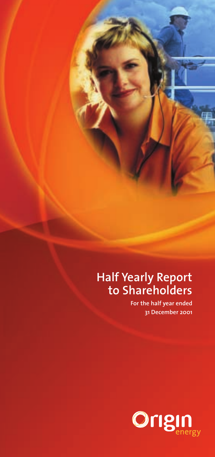## **Half Yearly Report to Shareholders**

**For the half year ended 31 December 2001**

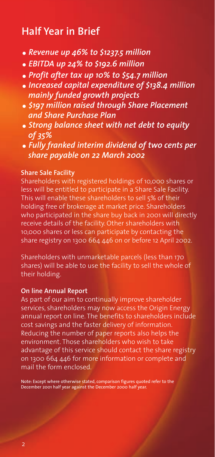## **Half Year in Brief**

- *Revenue up 46% to \$1237.5 million*
- *EBITDA up 24% to \$192.6 million*
- *Profit after tax up 10% to \$54.7 million*
- *Increased capital expenditure of \$138.4 million mainly funded growth projects*
- *\$197 million raised through Share Placement and Share Purchase Plan*
- *Strong balance sheet with net debt to equity of 35%*
- *Fully franked interim dividend of two cents per share payable on 22 March 2002*

#### **Share Sale Facility**

Shareholders with registered holdings of 10,000 shares or less will be entitled to participate in a Share Sale Facility. This will enable these shareholders to sell 5% of their holding free of brokerage at market price. Shareholders who participated in the share buy back in 2001 will directly receive details of the facility. Other shareholders with 10,000 shares or less can participate by contacting the share registry on 1300 664 446 on or before 12 April 2002.

Shareholders with unmarketable parcels (less than 170 shares) will be able to use the facility to sell the whole of their holding.

#### **On line Annual Report**

As part of our aim to continually improve shareholder services, shareholders may now access the Origin Energy annual report on line. The benefits to shareholders include cost savings and the faster delivery of information. Reducing the number of paper reports also helps the environment. Those shareholders who wish to take advantage of this service should contact the share registry on 1300 664 446 for more information or complete and mail the form enclosed.

Note: Except where otherwise stated, comparison figures quoted refer to the December 2001 half year against the December 2000 half year.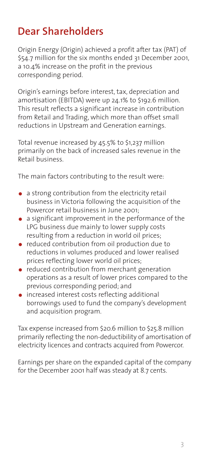## **Dear Shareholders**

Origin Energy (Origin) achieved a profit after tax (PAT) of \$54.7 million for the six months ended 31 December 2001, a 10.4% increase on the profit in the previous corresponding period.

Origin's earnings before interest, tax, depreciation and amortisation (EBITDA) were up 24.1% to \$192.6 million. This result reflects a significant increase in contribution from Retail and Trading, which more than offset small reductions in Upstream and Generation earnings.

Total revenue increased by 45.5% to \$1,237 million primarily on the back of increased sales revenue in the Retail business.

The main factors contributing to the result were:

- a strong contribution from the electricity retail business in Victoria following the acquisition of the Powercor retail business in June 2001;
- a significant improvement in the performance of the LPG business due mainly to lower supply costs resulting from a reduction in world oil prices;
- reduced contribution from oil production due to reductions in volumes produced and lower realised prices reflecting lower world oil prices;
- reduced contribution from merchant generation operations as a result of lower prices compared to the previous corresponding period; and
- increased interest costs reflecting additional borrowings used to fund the company's development and acquisition program.

Tax expense increased from \$20.6 million to \$25.8 million primarily reflecting the non-deductibility of amortisation of electricity licences and contracts acquired from Powercor.

Earnings per share on the expanded capital of the company for the December 2001 half was steady at 8.7 cents.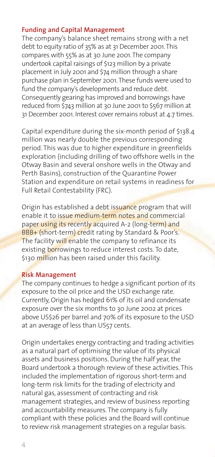#### **Funding and Capital Management**

The company's balance sheet remains strong with a net debt to equity ratio of 35% as at 31 December 2001.This compares with 55% as at 30 June 2001.The company undertook capital raisings of \$123 million by a private placement in July 2001 and \$74 million through a share purchase plan in September 2001.These funds were used to fund the company's developments and reduce debt. Consequently gearing has improved and borrowings have reduced from \$743 million at 30 June 2001 to \$567 million at 31 December 2001. Interest cover remains robust at 4.7 times.

Capital expenditure during the six-month period of \$138.4 million was nearly double the previous corresponding period. This was due to higher expenditure in greenfields exploration (including drilling of two offshore wells in the Otway Basin and several onshore wells in the Otway and Perth Basins), construction of the Quarantine Power Station and expenditure on retail systems in readiness for Full Retail Contestability (FRC).

Origin has established a debt issuance program that will enable it to issue medium-term notes and commercial paper using its recently acquired A-2 (long-term) and BBB+ (short-term) credit rating by Standard & Poor's. The facility will enable the company to refinance its existing borrowings to reduce interest costs. To date, \$130 million has been raised under this facility.

#### **Risk Management**

The company continues to hedge a significant portion of its exposure to the oil price and the USD exchange rate. Currently, Origin has hedged 61% of its oil and condensate exposure over the six months to 30 June 2002 at prices above US\$26 per barrel and 70% of its exposure to the USD at an average of less than US57 cents.

Origin undertakes energy contracting and trading activities as a natural part of optimising the value of its physical assets and business positions. During the half year, the Board undertook a thorough review of these activities. This included the implementation of rigorous short-term and long-term risk limits for the trading of electricity and natural gas, assessment of contracting and risk management strategies, and review of business reporting and accountability measures. The company is fully compliant with these policies and the Board will continue to review risk management strategies on a regular basis.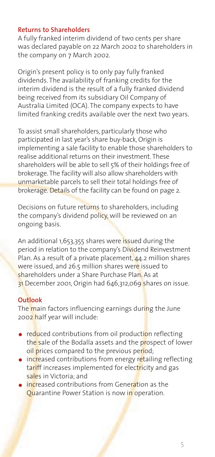#### **Returns to Shareholders**

A fully franked interim dividend of two cents per share was declared payable on 22 March 2002 to shareholders in the company on 7 March 2002.

Origin's present policy is to only pay fully franked dividends. The availability of franking credits for the interim dividend is the result of a fully franked dividend being received from its subsidiary Oil Company of Australia Limited (OCA). The company expects to have limited franking credits available over the next two years.

To assist small shareholders, particularly those who participated in last year's share buy-back, Origin is implementing a sale facility to enable those shareholders to realise additional returns on their investment. These shareholders will be able to sell 5% of their holdings free of brokerage. The facility will also allow shareholders with unmarketable parcels to sell their total holdings free of brokerage. Details of the facility can be found on page 2.

Decisions on future returns to shareholders, including the company's dividend policy, will be reviewed on an ongoing basis.

An additional 1,653,355 shares were issued during the period in relation to the company's Dividend Reinvestment Plan. As a result of a private placement,  $44.2$  million shares were issued, and 26.5 million shares were issued to shareholders under a Share Purchase Plan. As at 31 December 2001, Origin had 646,312,069 shares on issue.

### **Outlook**

The main factors influencing earnings during the June 2002 half year will include:

- reduced contributions from oil production reflecting the sale of the Bodalla assets and the prospect of lower oil prices compared to the previous period;
- increased contributions from energy retailing reflecting tariff increases implemented for electricity and gas sales in Victoria; and
- $\bullet$  increased contributions from Generation as the Quarantine Power Station is now in operation.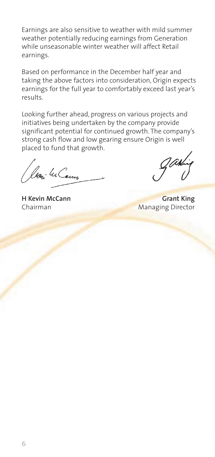Earnings are also sensitive to weather with mild summer weather potentially reducing earnings from Generation while unseasonable winter weather will affect Retail earnings.

Based on performance in the December half year and taking the above factors into consideration, Origin expects earnings for the full year to comfortably exceed last year's results.

Looking further ahead, progress on various projects and initiatives being undertaken by the company provide significant potential for continued growth. The company's strong cash flow and low gearing ensure Origin is well placed to fund that growth.

(beni 4 Cenn

**H Kevin McCann** Grant King **Chairman** Managing Director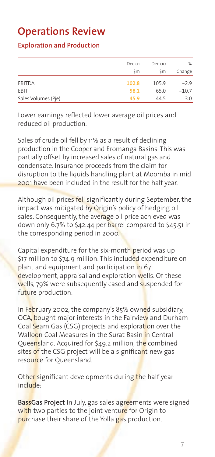## **Operations Review**

### **Exploration and Production**

|                     | Dec 01 | Dec oo | %       |
|---------------------|--------|--------|---------|
|                     | \$m    | \$m    | Change  |
|                     |        |        |         |
| EBITDA              | 102.8  | 105.9  | $-2.9$  |
| EBIT                | 58.1   | 65.0   | $-10.7$ |
| Sales Volumes (Pje) | 45.9   | 44.5   | 3.0     |

Lower earnings reflected lower average oil prices and reduced oil production.

Sales of crude oil fell by 11% as a result of declining production in the Cooper and Eromanga Basins. This was partially offset by increased sales of natural gas and condensate. Insurance proceeds from the claim for disruption to the liquids handling plant at Moomba in mid 2001 have been included in the result for the half year.

Although oil prices fell significantly during September, the impact was mitigated by Origin's policy of hedging oil sales. Consequently, the average oil price achieved was down only 6.7% to \$42.44 per barrel compared to \$45.51 in the corresponding period in 2000.

Capital expenditure for the six-month period was up \$17 million to \$74.9 million. This included expenditure on plant and equipment and participation in 67 development, appraisal and exploration wells. Of these wells, 79% were subsequently cased and suspended for future production.

In February 2002, the company's 85% owned subsidiary, OCA, bought major interests in the Fairview and Durham Coal Seam Gas (CSG) projects and exploration over the Walloon Coal Measures in the Surat Basin in Central Queensland. Acquired for \$49.2 million, the combined sites of the CSG project will be a significant new gas resource for Queensland.

Other significant developments during the half year include:

**BassGas Project** In July, gas sales agreements were signed with two parties to the joint venture for Origin to purchase their share of the Yolla gas production.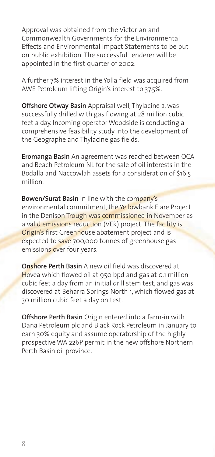Approval was obtained from the Victorian and Commonwealth Governments for the Environmental Effects and Environmental Impact Statements to be put on public exhibition. The successful tenderer will be appointed in the first quarter of 2002.

A further 7% interest in the Yolla field was acquired from AWE Petroleum lifting Origin's interest to 37.5%.

**Offshore Otway Basin** Appraisal well, Thylacine 2, was successfully drilled with gas flowing at 28 million cubic feet a day. Incoming operator Woodside is conducting a comprehensive feasibility study into the development of the Geographe and Thylacine gas fields.

**Eromanga Basin** An agreement was reached between OCA and Beach Petroleum NL for the sale of oil interests in the Bodalla and Naccowlah assets for a consideration of \$16.5 million.

**Bowen/Surat Basin** In line with the company's environmental commitment, the Yellowbank Flare Project in the Denison Trough was commissioned in November as a valid emissions reduction (VER) project. The facility is Origin's first Greenhouse abatement project and is expected to save 700,000 tonnes of greenhouse gas emissions over four years.

**Onshore Perth Basin** A new oil field was discovered at Hovea which flowed oil at 950 bpd and gas at 0.1 million cubic feet a day from an initial drill stem test, and gas was discovered at Beharra Springs North 1, which flowed gas at 30 million cubic feet a day on test.

**Offshore Perth Basin** Origin entered into a farm-in with Dana Petroleum plc and Black Rock Petroleum in January to earn 30% equity and assume operatorship of the highly prospective WA 226P permit in the new offshore Northern Perth Basin oil province.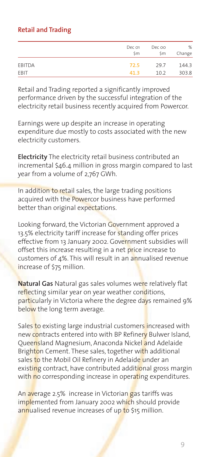## **Retail and Trading**

|        | Dec 01<br>\$m | Dec oo<br>\$m | %<br>Change |
|--------|---------------|---------------|-------------|
| EBITDA | 72.5          | 29.7          | 144.3       |
| EBIT   | 41 R          | 10.2          | 303.8       |

Retail and Trading reported a significantly improved performance driven by the successful integration of the electricity retail business recently acquired from Powercor.

Earnings were up despite an increase in operating expenditure due mostly to costs associated with the new electricity customers.

**Electricity** The electricity retail business contributed an incremental \$46.4 million in gross margin compared to last year from a volume of 2,767 GWh.

In addition to retail sales, the large trading positions acquired with the Powercor business have performed better than original expectations.

Looking forward, the Victorian Government approved a 13.5% electricity tariff increase for standing offer prices effective from 13 January 2002. Government subsidies will offset this increase resulting in a net price increase to customers of  $4\%$ . This will result in an annualised revenue increase of \$75 million.

**Natural Gas** Natural gas sales volumes were relatively flat reflecting similar year on year weather conditions, particularly in Victoria where the degree days remained 9% below the long term average.

Sales to existing large industrial customers increased with new contracts entered into with BP Refinery Bulwer Island, Queensland Magnesium, Anaconda Nickel and Adelaide Brighton Cement. These sales, together with additional sales to the Mobil Oil Refinery in Adelaide under an existing contract, have contributed additional gross margin with no corresponding increase in operating expenditures.

An average 2.5% increase in Victorian gas tariffs was implemented from January 2002 which should provide annualised revenue increases of up to \$15 million.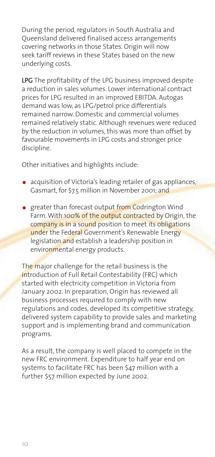During the period, regulators in South Australia and Queensland delivered finalised access arrangements covering networks in those States. Origin will now seek tariff reviews in these States based on the new underlying costs.

**LPG** The profitability of the LPG business improved despite a reduction in sales volumes. Lower international contract prices for LPG resulted in an improved EBITDA. Autogas demand was low, as LPG/petrol price differentials remained narrow. Domestic and commercial volumes remained relatively static. Although revenues were reduced by the reduction in volumes, this was more than offset by favourable movements in LPG costs and stronger price discipline.

Other initiatives and highlights include:

- acquisition of Victoria's leading retailer of gas appliances, Gasmart, for \$7.5 million in November 2001; and
- **greater than forecast output from Codrington Wind** Farm. With 100% of the output contracted by Origin, the company is in a sound position to meet its obligations under the Federal Government's Renewable Energy legislation and establish a leadership position in environmental energy products.

The major challenge for the retail business is the introduction of Full Retail Contestability (FRC) which started with electricity competition in Victoria from January 2002. In preparation, Origin has reviewed all business processes required to comply with new regulations and codes, developed its competitive strategy, delivered system capability to provide sales and marketing support and is implementing brand and communication programs.

As a result, the company is well placed to compete in the new FRC environment. Expenditure to half year end on systems to facilitate FRC has been \$47 million with a further \$57 million expected by June 2002.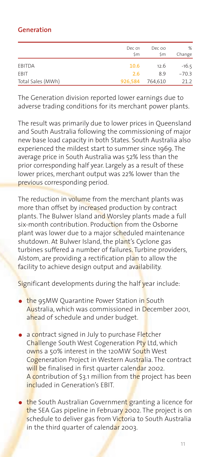## **Generation**

|                   | Dec 01<br>\$m | Dec oo<br>Śm | %<br>Change |
|-------------------|---------------|--------------|-------------|
| EBITDA            | 10.6          | 12.6         | $-16.5$     |
| EBIT              | 2.6           | 8.9          | $-70.3$     |
| Total Sales (MWh) | 926,584       | 764,610      | 21.2        |

The Generation division reported lower earnings due to adverse trading conditions for its merchant power plants.

The result was primarily due to lower prices in Queensland and South Australia following the commissioning of major new base load capacity in both States. South Australia also experienced the mildest start to summer since 1969. The average price in South Australia was 52% less than the prior corresponding half year. Largely as a result of these lower prices, merchant output was 22% lower than the previous corresponding period.

The reduction in volume from the merchant plants was more than offset by increased production by contract plants. The Bulwer Island and Worsley plants made a full six-month contribution. Production from the Osborne plant was lower due to a major scheduled maintenance shutdown. At Bulwer Island, the plant's Cyclone gas turbines suffered a number of failures. Turbine providers, Alstom, are providing a rectification plan to allow the facility to achieve design output and availability.

Significant developments during the half year include:

- **the 95MW Quarantine Power Station in South** Australia, which was commissioned in December 2001, ahead of schedule and under budget.
- a contract signed in July to purchase Fletcher Challenge South West Cogeneration Pty Ltd, which owns a 50% interest in the 120MW South West Cogeneration Project in Western Australia. The contract will be finalised in first quarter calendar 2002. A contribution of \$3.1 million from the project has been included in Generation's EBIT.
- the South Australian Government granting a licence for the SEA Gas pipeline in February 2002. The project is on schedule to deliver gas from Victoria to South Australia in the third quarter of calendar 2003.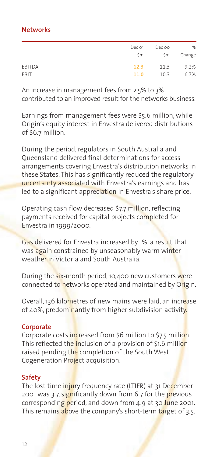### **Networks**

|               | Dec 01    | Dec oo | %      |
|---------------|-----------|--------|--------|
|               | <b>Sm</b> | \$m    | Change |
| <b>EBITDA</b> | 12.3      | 11.3   | 9.2%   |
| EBIT          | 11.0      | 10.3   | 6.7%   |

An increase in management fees from 2.5% to 3% contributed to an improved result for the networks business.

Earnings from management fees were \$5.6 million, while Origin's equity interest in Envestra delivered distributions of \$6.7 million.

During the period, regulators in South Australia and Queensland delivered final determinations for access arrangements covering Envestra's distribution networks in these States. This has significantly reduced the regulatory uncertainty associated with Envestra's earnings and has led to a significant appreciation in Envestra's share price.

Operating cash flow decreased \$7.7 million, reflecting payments received for capital projects completed for Envestra in 1999/2000.

Gas delivered for Envestra increased by 1%, a result that was again constrained by unseasonably warm winter weather in Victoria and South Australia.

During the six-month period, 10,400 new customers were connected to networks operated and maintained by Origin.

Overall, 136 kilometres of new mains were laid, an increase of 40%, predominantly from higher subdivision activity.

### **Corporate**

Corporate costs increased from \$6 million to \$7.5 million. This reflected the inclusion of a provision of \$1.6 million raised pending the completion of the South West Cogeneration Project acquisition.

### **Safety**

The lost time injury frequency rate (LTIFR) at 31 December 2001 was 3.7, significantly down from 6.7 for the previous corresponding period, and down from 4.9 at 30 June 2001. This remains above the company's short-term target of 3.5.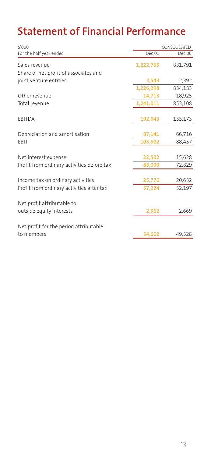# **Statement of Financial Performance**

| \$'000                                     | CONSOLIDATED |         |
|--------------------------------------------|--------------|---------|
| For the half year ended                    | Dec 01       | Dec 00  |
| Sales revenue                              | 1,222,755    | 831,791 |
| Share of net profit of associates and      |              |         |
| joint venture entities                     | 3,543        | 2,392   |
|                                            | 1,226,298    | 834,183 |
| Other revenue                              | 14,713       | 18,925  |
| Total revenue                              | 1,241,011    | 853,108 |
| <b>EBITDA</b>                              | 192,643      | 155,173 |
|                                            |              |         |
| Depreciation and amortisation              | 87,141       | 66,716  |
| <b>FBIT</b>                                | 105,502      | 88,457  |
| Net interest expense                       | 22,502       | 15,628  |
| Profit from ordinary activities before tax | 83,000       | 72,829  |
|                                            |              |         |
| Income tax on ordinary activities          | 25,776       | 20,632  |
| Profit from ordinary activities after tax  | 57,224       | 52,197  |
| Net profit attributable to                 |              |         |
| outside equity interests                   | 2,562        | 2,669   |
| Net profit for the period attributable     |              |         |
| to members                                 | 54,662       | 49,528  |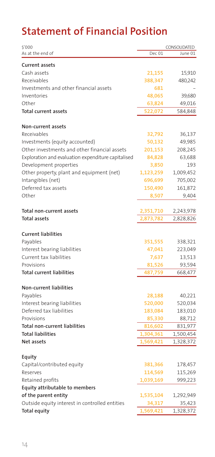# **Statement of Financial Position**

| \$'000                                             | CONSOLIDATED |           |
|----------------------------------------------------|--------------|-----------|
| As at the end of                                   | Dec 01       | June 01   |
| <b>Current assets</b>                              |              |           |
| Cash assets                                        | 21,155       | 15,910    |
| Receivables                                        | 388,347      | 480,242   |
| Investments and other financial assets             | 681          |           |
| Inventories                                        | 48,065       | 39,680    |
| Other                                              | 63,824       | 49,016    |
| <b>Total current assets</b>                        | 522,072      | 584,848   |
|                                                    |              |           |
| Non-current assets                                 |              |           |
| Receivables                                        | 32,792       | 36,137    |
| Investments (equity accounted)                     | 50,132       | 49,985    |
| Other investments and other financial assets       | 201,153      | 208,245   |
| Exploration and evaluation expenditure capitalised | 84,828       | 63,688    |
| Development properties                             | 3,850        | 193       |
| Other property, plant and equipment (net)          | 1,123,259    | 1,009,452 |
| Intangibles (net)                                  | 696,699      | 705,002   |
| Deferred tax assets                                | 150,490      | 161,872   |
| Other                                              | 8,507        | 9,404     |
| Total non-current assets                           | 2,351,710    | 2,243,978 |
| <b>Total assets</b>                                | 2,873,782    | 2,828,826 |
|                                                    |              |           |
| <b>Current liabilities</b>                         |              |           |
| Payables                                           | 351,555      | 338,321   |
| Interest bearing liabilities                       | 47,041       | 223,049   |
| Current tax liabilities                            | 7,637        | 13,513    |
| Provisions                                         | 81,526       | 93,594    |
| <b>Total current liabilities</b>                   | 487,759      | 668,477   |
| Non-current liabilities                            |              |           |
| Payables                                           | 28,188       | 40,221    |
| Interest bearing liabilities                       | 520,000      | 520,034   |
| Deferred tax liabilities                           | 183,084      | 183,010   |
| Provisions                                         | 85,330       | 88,712    |
| Total non-current liabilities                      | 816,602      | 831,977   |
| <b>Total liabilities</b>                           | 1,304,361    | 1,500,454 |
| Net assets                                         | 1,569,421    | 1,328,372 |
|                                                    |              |           |
| Equity                                             |              |           |
| Capital/contributed equity                         | 381,366      | 178,457   |
| Reserves                                           | 114,569      | 115,269   |
| Retained profits                                   | 1,039,169    | 999,223   |
| <b>Equity attributable to members</b>              |              |           |
| of the parent entity                               | 1,535,104    | 1,292,949 |
| Outside equity interest in controlled entities     | 34,317       | 35,423    |
| <b>Total equity</b>                                | 1,569,421    | 1,328,372 |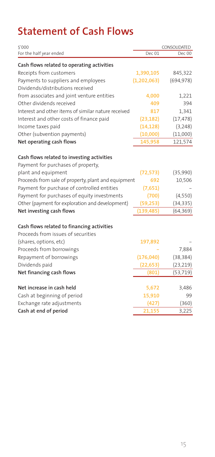# **Statement of Cash Flows**

| \$'000                                              |               | CONSOLIDATED |  |
|-----------------------------------------------------|---------------|--------------|--|
| For the half year ended                             | Dec 01        | Dec 00       |  |
| Cash flows related to operating activities          |               |              |  |
| Receipts from customers                             | 1,390,105     | 845,322      |  |
| Payments to suppliers and employees                 | (1, 202, 063) | (694, 978)   |  |
| Dividends/distributions received                    |               |              |  |
| from associates and joint venture entities          | 4,000         | 1,221        |  |
| Other dividends received                            | 409           | 394          |  |
| Interest and other items of similar nature received | 817           | 1,341        |  |
| Interest and other costs of finance paid            | (23, 182)     | (17, 478)    |  |
| Income taxes paid                                   | (14, 128)     | (3,248)      |  |
| Other (subvention payments)                         | (10,000)      | (11,000)     |  |
| Net operating cash flows                            | 145,958       | 121,574      |  |
|                                                     |               |              |  |
| Cash flows related to investing activities          |               |              |  |
| Payment for purchases of property,                  |               |              |  |
| plant and equipment                                 | (72, 573)     | (35,990)     |  |
| Proceeds from sale of property, plant and equipment | 692           | 10,506       |  |
| Payment for purchase of controlled entities         | (7,651)       |              |  |
| Payment for purchases of equity investments         | (700)         | (4, 550)     |  |
| Other (payment for exploration and development)     | (59, 253)     | (34, 335)    |  |
| Net investing cash flows                            | (139, 485)    | (64, 369)    |  |
| Cash flows related to financing activities          |               |              |  |
| Proceeds from issues of securities                  |               |              |  |
| (shares, options, etc)                              | 197,892       |              |  |
| Proceeds from borrowings                            |               | 7,884        |  |
| Repayment of borrowings                             | (176, 040)    | (38, 384)    |  |
| Dividends paid                                      | (22, 653)     | (23, 219)    |  |
| Net financing cash flows                            | (801)         | (53, 719)    |  |
|                                                     |               |              |  |
| Net increase in cash held                           | 5,672         | 3,486        |  |
| Cash at beginning of period                         | 15,910        | 99           |  |
| Exchange rate adjustments                           | (427)         | (360)        |  |
| Cash at end of period                               | 21,155        | 3,225        |  |